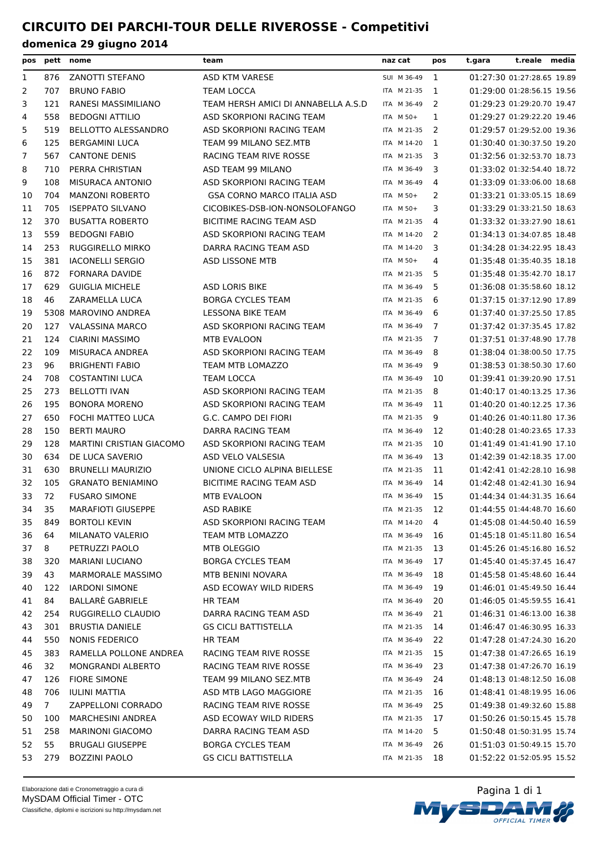## **CIRCUITO DEI PARCHI-TOUR DELLE RIVEROSSE - Competitivi**

| pos          |             | pett nome                  | team                                | naz cat     | pos | t.gara | t.reale media              |  |
|--------------|-------------|----------------------------|-------------------------------------|-------------|-----|--------|----------------------------|--|
| $\mathbf{1}$ | 876         | ZANOTTI STEFANO            | ASD KTM VARESE                      | SUI M 36-49 | 1   |        | 01:27:30 01:27:28.65 19.89 |  |
| 2            | 707         | <b>BRUNO FABIO</b>         | <b>TEAM LOCCA</b>                   | ITA M 21-35 | 1   |        | 01:29:00 01:28:56.15 19.56 |  |
| 3            | 121         | RANESI MASSIMILIANO        | TEAM HERSH AMICI DI ANNABELLA A.S.D | ITA M 36-49 | 2   |        | 01:29:23 01:29:20.70 19.47 |  |
| 4            | 558         | <b>BEDOGNI ATTILIO</b>     | ASD SKORPIONI RACING TEAM           | ITA M 50+   | 1   |        | 01:29:27 01:29:22.20 19.46 |  |
| 5            | 519         | <b>BELLOTTO ALESSANDRO</b> | ASD SKORPIONI RACING TEAM           | ITA M 21-35 | 2   |        | 01:29:57 01:29:52.00 19.36 |  |
| 6            | 125         | <b>BERGAMINI LUCA</b>      | TEAM 99 MILANO SEZ.MTB              | ITA M 14-20 | 1   |        | 01:30:40 01:30:37.50 19.20 |  |
| 7            | 567         | <b>CANTONE DENIS</b>       | RACING TEAM RIVE ROSSE              | ITA M 21-35 | 3   |        | 01:32:56 01:32:53.70 18.73 |  |
| 8            | 710         | PERRA CHRISTIAN            | ASD TEAM 99 MILANO                  | ITA M 36-49 | 3   |        | 01:33:02 01:32:54.40 18.72 |  |
| 9            | 108         | MISURACA ANTONIO           | ASD SKORPIONI RACING TEAM           | ITA M 36-49 | 4   |        | 01:33:09 01:33:06.00 18.68 |  |
| 10           | 704         | <b>MANZONI ROBERTO</b>     | <b>GSA CORNO MARCO ITALIA ASD</b>   | ITA M 50+   | 2   |        | 01:33:21 01:33:05.15 18.69 |  |
| 11           | 705         | <b>ISEPPATO SILVANO</b>    | CICOBIKES-DSB-ION-NONSOLOFANGO      | ITA M 50+   | 3   |        | 01:33:29 01:33:21.50 18.63 |  |
| 12           | 370         | <b>BUSATTA ROBERTO</b>     | BICITIME RACING TEAM ASD            | ITA M 21-35 | 4   |        | 01:33:32 01:33:27.90 18.61 |  |
| 13           | 559         | <b>BEDOGNI FABIO</b>       | ASD SKORPIONI RACING TEAM           | ITA M 14-20 | 2   |        | 01:34:13 01:34:07.85 18.48 |  |
| 14           | 253         | RUGGIRELLO MIRKO           | DARRA RACING TEAM ASD               | ITA M 14-20 | 3   |        | 01:34:28 01:34:22.95 18.43 |  |
| 15           | 381         | <b>IACONELLI SERGIO</b>    | ASD LISSONE MTB                     | ITA M 50+   | 4   |        | 01:35:48 01:35:40.35 18.18 |  |
| 16           | 872         | FORNARA DAVIDE             |                                     | ITA M 21-35 | 5   |        | 01:35:48 01:35:42.70 18.17 |  |
| 17           | 629         | <b>GUIGLIA MICHELE</b>     | <b>ASD LORIS BIKE</b>               | ITA M 36-49 | 5   |        | 01:36:08 01:35:58.60 18.12 |  |
| 18           | 46          | ZARAMELLA LUCA             | <b>BORGA CYCLES TEAM</b>            | ITA M 21-35 | 6   |        | 01:37:15 01:37:12.90 17.89 |  |
| 19           |             | 5308 MAROVINO ANDREA       | LESSONA BIKE TEAM                   | ITA M 36-49 | 6   |        | 01:37:40 01:37:25.50 17.85 |  |
| 20           | 127         | <b>VALASSINA MARCO</b>     | ASD SKORPIONI RACING TEAM           | ITA M 36-49 | 7   |        | 01:37:42 01:37:35.45 17.82 |  |
| 21           | 124         | <b>CIARINI MASSIMO</b>     | MTB EVALOON                         | ITA M 21-35 | 7   |        | 01:37:51 01:37:48.90 17.78 |  |
| 22           | 109         | MISURACA ANDREA            | ASD SKORPIONI RACING TEAM           | ITA M 36-49 | 8   |        | 01:38:04 01:38:00.50 17.75 |  |
| 23           | 96          | <b>BRIGHENTI FABIO</b>     | <b>TEAM MTB LOMAZZO</b>             | ITA M 36-49 | 9   |        | 01:38:53 01:38:50.30 17.60 |  |
| 24           | 708         | <b>COSTANTINI LUCA</b>     | <b>TEAM LOCCA</b>                   | ITA M 36-49 | 10  |        | 01:39:41 01:39:20.90 17.51 |  |
| 25           | 273         | <b>BELLOTTI IVAN</b>       | ASD SKORPIONI RACING TEAM           | ITA M 21-35 | 8   |        | 01:40:17 01:40:13.25 17.36 |  |
| 26           | 195         | <b>BONORA MORENO</b>       | ASD SKORPIONI RACING TEAM           | ITA M 36-49 | 11  |        | 01:40:20 01:40:12.25 17.36 |  |
| 27           | 650         | FOCHI MATTEO LUCA          | G.C. CAMPO DEI FIORI                | ITA M 21-35 | 9   |        | 01:40:26 01:40:11.80 17.36 |  |
| 28           | 150         | <b>BERTI MAURO</b>         | <b>DARRA RACING TEAM</b>            | ITA M 36-49 | 12  |        | 01:40:28 01:40:23.65 17.33 |  |
| 29           | 128         | MARTINI CRISTIAN GIACOMO   | ASD SKORPIONI RACING TEAM           | ITA M 21-35 | 10  |        | 01:41:49 01:41:41.90 17.10 |  |
| 30           | 634         | DE LUCA SAVERIO            | ASD VELO VALSESIA                   | ITA M 36-49 | 13  |        | 01:42:39 01:42:18.35 17.00 |  |
| 31           | 630         | <b>BRUNELLI MAURIZIO</b>   | UNIONE CICLO ALPINA BIELLESE        | ITA M 21-35 | 11  |        | 01:42:41 01:42:28.10 16.98 |  |
| 32           | 105         | <b>GRANATO BENIAMINO</b>   | <b>BICITIME RACING TEAM ASD</b>     | ITA M 36-49 | 14  |        | 01:42:48 01:42:41.30 16.94 |  |
| 33           | 72          | <b>FUSARO SIMONE</b>       | MTB EVALOON                         | ITA M 36-49 | 15  |        | 01:44:34 01:44:31.35 16.64 |  |
| 34           | 35          | <b>MARAFIOTI GIUSEPPE</b>  | ASD RABIKE                          | ITA M 21-35 | 12  |        | 01:44:55 01:44:48.70 16.60 |  |
| 35           | 849         | <b>BORTOLI KEVIN</b>       | ASD SKORPIONI RACING TEAM           | ITA M 14-20 | 4   |        | 01:45:08 01:44:50.40 16.59 |  |
| 36           | 64          | MILANATO VALERIO           | TEAM MTB LOMAZZO                    | ITA M 36-49 | 16  |        | 01:45:18 01:45:11.80 16.54 |  |
| 37           | 8           | PETRUZZI PAOLO             | MTB OLEGGIO                         | ITA M 21-35 | 13  |        | 01:45:26 01:45:16.80 16.52 |  |
| 38           | 320         | <b>MARIANI LUCIANO</b>     | <b>BORGA CYCLES TEAM</b>            | ITA M 36-49 | 17  |        | 01:45:40 01:45:37.45 16.47 |  |
| 39           | 43          | MARMORALE MASSIMO          | MTB BENINI NOVARA                   | ITA M 36-49 | 18  |        | 01:45:58 01:45:48.60 16.44 |  |
| 40           | 122         | <b>IARDONI SIMONE</b>      | ASD ECOWAY WILD RIDERS              | ITA M 36-49 | 19  |        | 01:46:01 01:45:49.50 16.44 |  |
| 41           | 84          | BALLARÈ GABRIELE           | HR TEAM                             | ITA M 36-49 | 20  |        | 01:46:05 01:45:59.55 16.41 |  |
| 42           | 254         | RUGGIRELLO CLAUDIO         | DARRA RACING TEAM ASD               | ITA M 36-49 | 21  |        | 01:46:31 01:46:13.00 16.38 |  |
| 43           | 301         | <b>BRUSTIA DANIELE</b>     | <b>GS CICLI BATTISTELLA</b>         | ITA M 21-35 | 14  |        | 01:46:47 01:46:30.95 16.33 |  |
| 44           | 550         | <b>NONIS FEDERICO</b>      | HR TEAM                             | ITA M 36-49 | 22  |        | 01:47:28 01:47:24.30 16.20 |  |
| 45           | 383         | RAMELLA POLLONE ANDREA     | RACING TEAM RIVE ROSSE              | ITA M 21-35 | 15  |        | 01:47:38 01:47:26.65 16.19 |  |
| 46           | 32          | <b>MONGRANDI ALBERTO</b>   | RACING TEAM RIVE ROSSE              | ITA M 36-49 | 23  |        | 01:47:38 01:47:26.70 16.19 |  |
| 47           | 126         | <b>FIORE SIMONE</b>        | TEAM 99 MILANO SEZ.MTB              | ITA M 36-49 | 24  |        | 01:48:13 01:48:12.50 16.08 |  |
| 48           | 706         | <b>IULINI MATTIA</b>       | ASD MTB LAGO MAGGIORE               | ITA M 21-35 | 16  |        | 01:48:41 01:48:19.95 16.06 |  |
| 49           | $7^{\circ}$ | ZAPPELLONI CORRADO         | RACING TEAM RIVE ROSSE              | ITA M 36-49 | 25  |        | 01:49:38 01:49:32.60 15.88 |  |
| 50           | 100         | <b>MARCHESINI ANDREA</b>   | ASD ECOWAY WILD RIDERS              | ITA M 21-35 | 17  |        | 01:50:26 01:50:15.45 15.78 |  |
| 51           | 258         | <b>MARINONI GIACOMO</b>    | DARRA RACING TEAM ASD               | ITA M 14-20 | 5   |        | 01:50:48 01:50:31.95 15.74 |  |
| 52           | 55          | <b>BRUGALI GIUSEPPE</b>    | <b>BORGA CYCLES TEAM</b>            | ITA M 36-49 | 26  |        | 01:51:03 01:50:49.15 15.70 |  |
| 53           | 279         | <b>BOZZINI PAOLO</b>       | <b>GS CICLI BATTISTELLA</b>         | ITA M 21-35 | 18  |        | 01:52:22 01:52:05.95 15.52 |  |

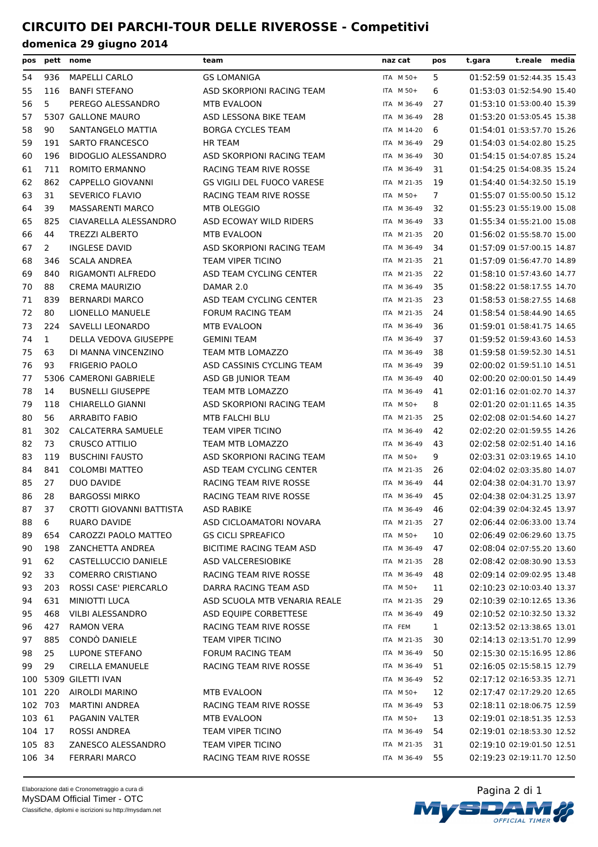### **CIRCUITO DEI PARCHI-TOUR DELLE RIVEROSSE - Competitivi**

| pos     |                | pett nome                    | team                              | naz cat     | pos            | t.reale media<br>t.gara    |  |
|---------|----------------|------------------------------|-----------------------------------|-------------|----------------|----------------------------|--|
| 54      | 936            | <b>MAPELLI CARLO</b>         | <b>GS LOMANIGA</b>                | ITA M 50+   | 5              | 01:52:59 01:52:44.35 15.43 |  |
| 55      | 116            | <b>BANFI STEFANO</b>         | ASD SKORPIONI RACING TEAM         | ITA M 50+   | 6              | 01:53:03 01:52:54.90 15.40 |  |
| 56      | 5              | PEREGO ALESSANDRO            | MTB EVALOON                       | ITA M 36-49 | 27             | 01:53:10 01:53:00.40 15.39 |  |
| 57      |                | 5307 GALLONE MAURO           | ASD LESSONA BIKE TEAM             | ITA M 36-49 | 28             | 01:53:20 01:53:05.45 15.38 |  |
| 58      | 90             | SANTANGELO MATTIA            | <b>BORGA CYCLES TEAM</b>          | ITA M 14-20 | 6              | 01:54:01 01:53:57.70 15.26 |  |
| 59      | 191            | <b>SARTO FRANCESCO</b>       | <b>HR TEAM</b>                    | ITA M 36-49 | 29             | 01:54:03 01:54:02.80 15.25 |  |
| 60      | 196            | <b>BIDOGLIO ALESSANDRO</b>   | ASD SKORPIONI RACING TEAM         | ITA M 36-49 | 30             | 01:54:15 01:54:07.85 15.24 |  |
| 61      | 711            | <b>ROMITO ERMANNO</b>        | RACING TEAM RIVE ROSSE            | ITA M 36-49 | 31             | 01:54:25 01:54:08.35 15.24 |  |
| 62      | 862            | <b>CAPPELLO GIOVANNI</b>     | <b>GS VIGILI DEL FUOCO VARESE</b> | ITA M 21-35 | 19             | 01:54:40 01:54:32.50 15.19 |  |
| 63      | 31             | SEVERICO FLAVIO              | <b>RACING TEAM RIVE ROSSE</b>     | ITA M 50+   | $\overline{7}$ | 01:55:07 01:55:00.50 15.12 |  |
| 64      | 39             | MASSARENTI MARCO             | MTB OLEGGIO                       | ITA M 36-49 | 32             | 01:55:23 01:55:19.00 15.08 |  |
| 65      | 825            | CIAVARELLA ALESSANDRO        | ASD ECOWAY WILD RIDERS            | ITA M 36-49 | 33             | 01:55:34 01:55:21.00 15.08 |  |
| 66      | 44             | <b>TREZZI ALBERTO</b>        | MTB EVALOON                       | ITA M 21-35 | 20             | 01:56:02 01:55:58.70 15.00 |  |
| 67      | $\overline{2}$ | <b>INGLESE DAVID</b>         | ASD SKORPIONI RACING TEAM         | ITA M 36-49 | 34             | 01:57:09 01:57:00.15 14.87 |  |
| 68      | 346            | <b>SCALA ANDREA</b>          | TEAM VIPER TICINO                 | ITA M 21-35 | 21             | 01:57:09 01:56:47.70 14.89 |  |
| 69      | 840            | RIGAMONTI ALFREDO            | ASD TEAM CYCLING CENTER           | ITA M 21-35 | 22             | 01:58:10 01:57:43.60 14.77 |  |
| 70      | 88             | <b>CREMA MAURIZIO</b>        | DAMAR 2.0                         | ITA M 36-49 | 35             | 01:58:22 01:58:17.55 14.70 |  |
| 71      | 839            | <b>BERNARDI MARCO</b>        | ASD TEAM CYCLING CENTER           | ITA M 21-35 | 23             | 01:58:53 01:58:27.55 14.68 |  |
| 72      | 80             | LIONELLO MANUELE             | <b>FORUM RACING TEAM</b>          | ITA M 21-35 | 24             | 01:58:54 01:58:44.90 14.65 |  |
| 73      | 224            | <b>SAVELLI LEONARDO</b>      | MTB EVALOON                       | ITA M 36-49 | 36             | 01:59:01 01:58:41.75 14.65 |  |
| 74      | $\mathbf{1}$   | <b>DELLA VEDOVA GIUSEPPE</b> | <b>GEMINI TEAM</b>                | ITA M 36-49 | 37             | 01:59:52 01:59:43.60 14.53 |  |
| 75      | 63             | DI MANNA VINCENZINO          | TEAM MTB LOMAZZO                  | ITA M 36-49 | 38             | 01:59:58 01:59:52.30 14.51 |  |
| 76      | 93             | <b>FRIGERIO PAOLO</b>        | ASD CASSINIS CYCLING TEAM         | ITA M 36-49 | 39             | 02:00:02 01:59:51.10 14.51 |  |
| 77      |                | 5306 CAMERONI GABRIELE       | ASD GB JUNIOR TEAM                | ITA M 36-49 | 40             | 02:00:20 02:00:01.50 14.49 |  |
| 78      | 14             | <b>BUSNELLI GIUSEPPE</b>     | TEAM MTB LOMAZZO                  | ITA M 36-49 | 41             | 02:01:16 02:01:02.70 14.37 |  |
| 79      | 118            | <b>CHIARELLO GIANNI</b>      | ASD SKORPIONI RACING TEAM         | ITA M 50+   | 8              | 02:01:20 02:01:11.65 14.35 |  |
| 80      | 56             | <b>ARRABITO FABIO</b>        | MTB FALCHI BLU                    | ITA M 21-35 | 25             | 02:02:08 02:01:54.60 14.27 |  |
| 81      | 302            | CALCATERRA SAMUELE           | TEAM VIPER TICINO                 | ITA M 36-49 | 42             | 02:02:20 02:01:59.55 14.26 |  |
| 82      | 73             | <b>CRUSCO ATTILIO</b>        | TEAM MTB LOMAZZO                  | ITA M 36-49 | 43             | 02:02:58 02:02:51.40 14.16 |  |
| 83      | 119            | <b>BUSCHINI FAUSTO</b>       | ASD SKORPIONI RACING TEAM         | ITA M 50+   | 9              | 02:03:31 02:03:19.65 14.10 |  |
| 84      | 841            | <b>COLOMBI MATTEO</b>        | ASD TEAM CYCLING CENTER           | ITA M 21-35 | 26             | 02:04:02 02:03:35.80 14.07 |  |
| 85      | 27             | DUO DAVIDE                   | <b>RACING TEAM RIVE ROSSE</b>     | ITA M 36-49 | 44             | 02:04:38 02:04:31.70 13.97 |  |
| 86      | 28             | <b>BARGOSSI MIRKO</b>        | RACING TEAM RIVE ROSSE            | ITA M 36-49 | 45             | 02:04:38 02:04:31.25 13.97 |  |
| 87      | 37             | CROTTI GIOVANNI BATTISTA     | <b>ASD RABIKE</b>                 | ITA M 36-49 | 46             | 02:04:39 02:04:32.45 13.97 |  |
| 88      | 6              | RUARO DAVIDE                 | ASD CICLOAMATORI NOVARA           | ITA M 21-35 | 27             | 02:06:44 02:06:33.00 13.74 |  |
| 89      | 654            | CAROZZI PAOLO MATTEO         | <b>GS CICLI SPREAFICO</b>         | ITA M 50+   | 10             | 02:06:49 02:06:29.60 13.75 |  |
| 90      | 198            | ZANCHETTA ANDREA             | BICITIME RACING TEAM ASD          | ITA M 36-49 | 47             | 02:08:04 02:07:55.20 13.60 |  |
| 91      | 62             | CASTELLUCCIO DANIELE         | ASD VALCERESIOBIKE                | ITA M 21-35 | 28             | 02:08:42 02:08:30.90 13.53 |  |
| 92      | 33             | <b>COMERRO CRISTIANO</b>     | RACING TEAM RIVE ROSSE            | ITA M 36-49 | 48             | 02:09:14 02:09:02.95 13.48 |  |
| 93      | 203            | ROSSI CASE' PIERCARLO        | DARRA RACING TEAM ASD             | ITA M 50+   | 11             | 02:10:23 02:10:03.40 13.37 |  |
| 94      | 631            | MINIOTTI LUCA                | ASD SCUOLA MTB VENARIA REALE      | ITA M 21-35 | 29             | 02:10:39 02:10:12.65 13.36 |  |
| 95      | 468            | <b>VILBI ALESSANDRO</b>      | ASD EQUIPE CORBETTESE             | ITA M 36-49 | 49             | 02:10:52 02:10:32.50 13.32 |  |
| 96      | 427            | RAMON VERA                   | RACING TEAM RIVE ROSSE            | ITA FEM     | $\mathbf{1}$   | 02:13:52 02:13:38.65 13.01 |  |
| 97      | 885            | CONDO DANIELE                | TEAM VIPER TICINO                 | ITA M 21-35 | 30             | 02:14:13 02:13:51.70 12.99 |  |
| 98      | 25             | LUPONE STEFANO               | <b>FORUM RACING TEAM</b>          | ITA M 36-49 | 50             | 02:15:30 02:15:16.95 12.86 |  |
| 99      | 29             | <b>CIRELLA EMANUELE</b>      | RACING TEAM RIVE ROSSE            | ITA M 36-49 | 51             | 02:16:05 02:15:58.15 12.79 |  |
| 100     |                | 5309 GILETTI IVAN            |                                   | ITA M 36-49 | 52             | 02:17:12 02:16:53.35 12.71 |  |
| 101 220 |                | AIROLDI MARINO               | MTB EVALOON                       | ITA M 50+   | 12             | 02:17:47 02:17:29.20 12.65 |  |
| 102 703 |                | <b>MARTINI ANDREA</b>        | RACING TEAM RIVE ROSSE            | ITA M 36-49 | 53             | 02:18:11 02:18:06.75 12.59 |  |
| 103 61  |                | PAGANIN VALTER               | MTB EVALOON                       | ITA M 50+   | 13             | 02:19:01 02:18:51.35 12.53 |  |
| 104 17  |                | <b>ROSSI ANDREA</b>          | TEAM VIPER TICINO                 | ITA M 36-49 | 54             | 02:19:01 02:18:53.30 12.52 |  |
| 105 83  |                | ZANESCO ALESSANDRO           | TEAM VIPER TICINO                 | ITA M 21-35 | 31             | 02:19:10 02:19:01.50 12.51 |  |
| 106 34  |                | <b>FERRARI MARCO</b>         | RACING TEAM RIVE ROSSE            | ITA M 36-49 | 55             | 02:19:23 02:19:11.70 12.50 |  |
|         |                |                              |                                   |             |                |                            |  |

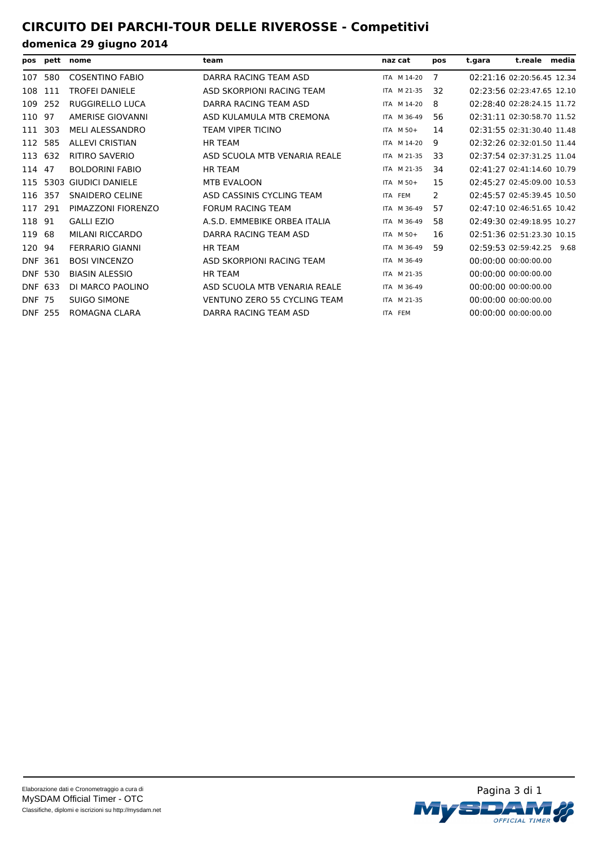# **CIRCUITO DEI PARCHI-TOUR DELLE RIVEROSSE - Competitivi**

|                |      | pos pett nome          | team                                | naz cat |             | pos | t.gara | t.reale media              |  |
|----------------|------|------------------------|-------------------------------------|---------|-------------|-----|--------|----------------------------|--|
| 107            | 580  | <b>COSENTINO FABIO</b> | DARRA RACING TEAM ASD               |         | ITA M 14-20 | 7   |        | 02:21:16 02:20:56.45 12.34 |  |
| 108            | 111  | <b>TROFEI DANIELE</b>  | ASD SKORPIONI RACING TEAM           |         | ITA M 21-35 | 32  |        | 02:23:56 02:23:47.65 12.10 |  |
| 109            | 252  | RUGGIRELLO LUCA        | DARRA RACING TEAM ASD               |         | ITA M 14-20 | 8   |        | 02:28:40 02:28:24.15 11.72 |  |
| 110            | 97   | AMERISE GIOVANNI       | ASD KULAMULA MTB CREMONA            |         | ITA M 36-49 | 56  |        | 02:31:11 02:30:58.70 11.52 |  |
| 111            | 303  | MELI ALESSANDRO        | <b>TEAM VIPER TICINO</b>            |         | ITA M 50+   | 14  |        | 02:31:55 02:31:30.40 11.48 |  |
| 112            | 585  | <b>ALLEVI CRISTIAN</b> | <b>HR TEAM</b>                      |         | ITA M 14-20 | 9   |        | 02:32:26 02:32:01.50 11.44 |  |
| 113            | 632  | RITIRO SAVERIO         | ASD SCUOLA MTB VENARIA REALE        |         | ITA M 21-35 | 33  |        | 02:37:54 02:37:31.25 11.04 |  |
| 114            | 47   | <b>BOLDORINI FABIO</b> | <b>HR TEAM</b>                      |         | ITA M 21-35 | 34  |        | 02:41:27 02:41:14.60 10.79 |  |
| 115            | 5303 | <b>GIUDICI DANIELE</b> | <b>MTB EVALOON</b>                  |         | ITA M 50+   | 15  |        | 02:45:27 02:45:09.00 10.53 |  |
| 116            | 357  | <b>SNAIDERO CELINE</b> | ASD CASSINIS CYCLING TEAM           |         | ITA FEM     | 2   |        | 02:45:57 02:45:39.45 10.50 |  |
| 117            | 291  | PIMAZZONI FIORENZO     | <b>FORUM RACING TEAM</b>            |         | ITA M 36-49 | 57  |        | 02:47:10 02:46:51.65 10.42 |  |
| 118            | 91   | <b>GALLI EZIO</b>      | A.S.D. EMMEBIKE ORBEA ITALIA        |         | ITA M 36-49 | 58  |        | 02:49:30 02:49:18.95 10.27 |  |
| 119            | 68   | MILANI RICCARDO        | DARRA RACING TEAM ASD               |         | ITA M 50+   | 16  |        | 02:51:36 02:51:23.30 10.15 |  |
| 120            | 94   | <b>FERRARIO GIANNI</b> | <b>HR TEAM</b>                      |         | ITA M 36-49 | 59  |        | 02:59:53 02:59:42.25 9.68  |  |
| <b>DNF 361</b> |      | <b>BOSI VINCENZO</b>   | ASD SKORPIONI RACING TEAM           |         | ITA M 36-49 |     |        | 00:00:00 00:00:00.00       |  |
| <b>DNF 530</b> |      | <b>BIASIN ALESSIO</b>  | <b>HR TEAM</b>                      |         | ITA M 21-35 |     |        | 00:00:00 00:00:00.00       |  |
| DNF 633        |      | DI MARCO PAOLINO       | ASD SCUOLA MTB VENARIA REALE        |         | ITA M 36-49 |     |        | 00:00:00 00:00:00.00       |  |
| <b>DNF 75</b>  |      | <b>SUIGO SIMONE</b>    | <b>VENTUNO ZERO 55 CYCLING TEAM</b> |         | ITA M 21-35 |     |        | 00:00:00 00:00:00.00       |  |
| <b>DNF 255</b> |      | ROMAGNA CLARA          | DARRA RACING TEAM ASD               |         | ITA FEM     |     |        | 00:00:00 00:00:00.00       |  |